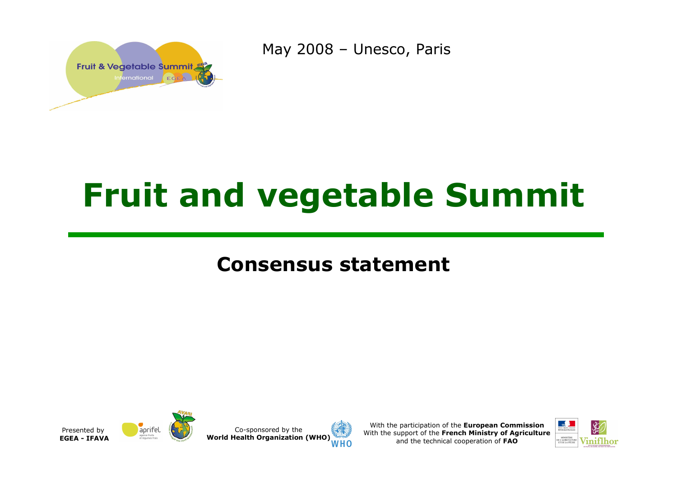

May 2008 – Unesco, Paris

# Fruit and vegetable Summit

#### Consensus statement





Co-sponsored by the World Health Organization (WHO)



With the participation of the **European Commission** With the support of the **French Ministry of Agriculture**<br>and the technical cooperation of **FAO** and the technical cooperation of FAO

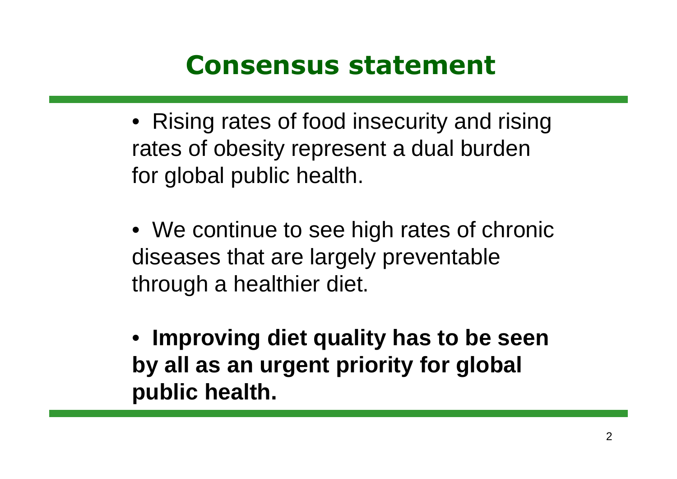• Rising rates of food insecurity and rising rates of obesity represent a dual burden for global public health.

• We continue to see high rates of chronic diseases that are largely preventable through a healthier diet.

• **Improving diet quality has to be seen by all as an urgent priority for global public health.**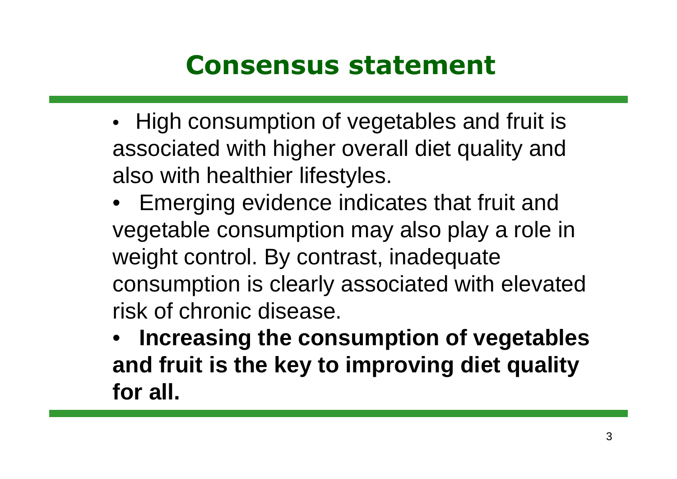- High consumption of vegetables and fruit is associated with higher overall diet quality and also with healthier lifestyles.
- • Emerging evidence indicates that fruit and vegetable consumption may also play a role in weight control. By contrast, inadequate consumption is clearly associated with elevated risk of chronic disease.
- • **Increasing the consumption of vegetables and fruit is the key to improving diet quality for all.**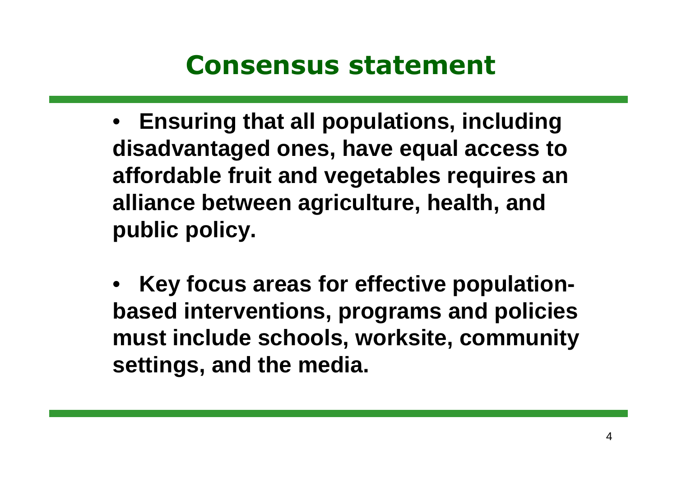• **Ensuring that all populations, including disadvantaged ones, have equal access to affordable fruit and vegetables requires an alliance between agriculture, health, and public policy.** 

• **Key focus areas for effective populationbased interventions, programs and policies must include schools, worksite, community settings, and the media.**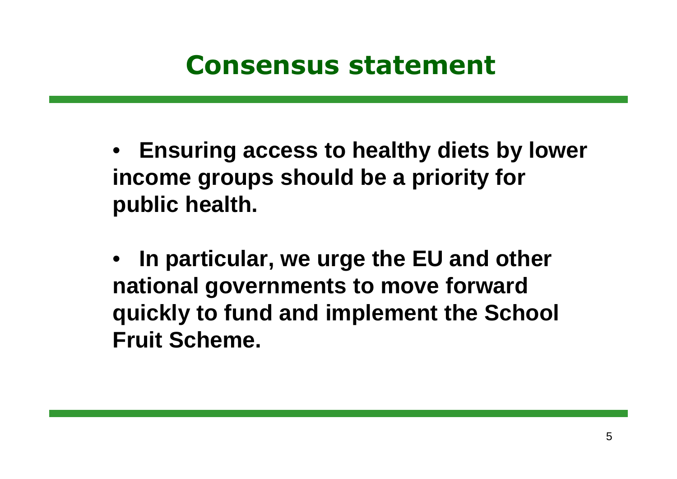• **Ensuring access to healthy diets by lower income groups should be a priority for public health.**

• **In particular, we urge the EU and other national governments to move forward quickly to fund and implement the School Fruit Scheme.**